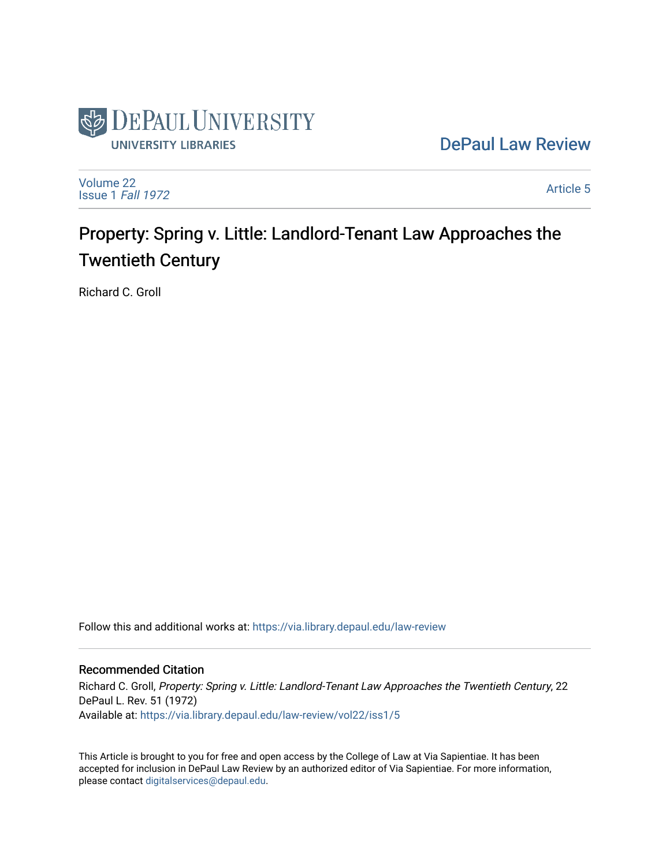

[DePaul Law Review](https://via.library.depaul.edu/law-review) 

[Volume 22](https://via.library.depaul.edu/law-review/vol22) [Issue 1](https://via.library.depaul.edu/law-review/vol22/iss1) Fall 1972

[Article 5](https://via.library.depaul.edu/law-review/vol22/iss1/5) 

# Property: Spring v. Little: Landlord-Tenant Law Approaches the Twentieth Century

Richard C. Groll

Follow this and additional works at: [https://via.library.depaul.edu/law-review](https://via.library.depaul.edu/law-review?utm_source=via.library.depaul.edu%2Flaw-review%2Fvol22%2Fiss1%2F5&utm_medium=PDF&utm_campaign=PDFCoverPages) 

## Recommended Citation

Richard C. Groll, Property: Spring v. Little: Landlord-Tenant Law Approaches the Twentieth Century, 22 DePaul L. Rev. 51 (1972) Available at: [https://via.library.depaul.edu/law-review/vol22/iss1/5](https://via.library.depaul.edu/law-review/vol22/iss1/5?utm_source=via.library.depaul.edu%2Flaw-review%2Fvol22%2Fiss1%2F5&utm_medium=PDF&utm_campaign=PDFCoverPages) 

This Article is brought to you for free and open access by the College of Law at Via Sapientiae. It has been accepted for inclusion in DePaul Law Review by an authorized editor of Via Sapientiae. For more information, please contact [digitalservices@depaul.edu.](mailto:digitalservices@depaul.edu)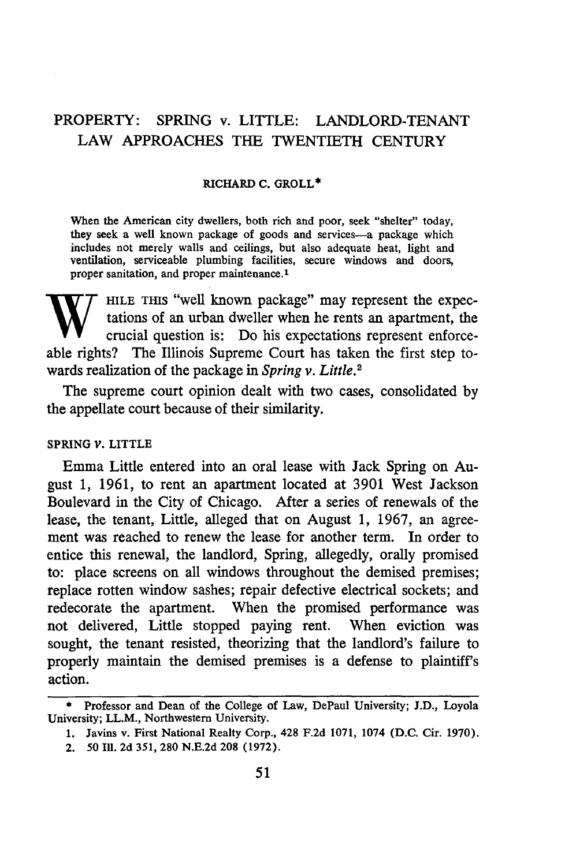# PROPERTY: SPRING v. LITTLE: LANDLORD-TENANT LAW APPROACHES THE TWENTIETH CENTURY

#### **RICHARD C. GROLL\***

When the American city dwellers, both rich and poor, seek "shelter" today, they seek a well known package of goods and services-a package which includes not merely walls and ceilings, but also adequate heat, light and ventilation, serviceable plumbing facilities, secure windows and doors, proper sanitation, and proper maintenance.<sup>1</sup>

HILE THIS "well known package" may represent the expectations of an urban dweller when he rents an apartment, the crucial question is: Do his expectations represent enforceable rights? The Illinois Supreme Court has taken the first step towards realization of the package in *Spring v. Little.2*

The supreme court opinion dealt with two cases, consolidated by the appellate court because of their similarity.

### **SPRING** *V.* LITTLE

Emma Little entered into an oral lease with Jack Spring on August 1, 1961, to rent an apartment located at 3901 West Jackson Boulevard in the City of Chicago. After a series of renewals of the lease, the tenant, Little, alleged that on August 1, 1967, an agreement was reached to renew the lease for another term. In order to entice this renewal, the landlord, Spring, allegedly, orally promised to: place screens on all windows throughout the demised premises; replace rotten window sashes; repair defective electrical sockets; and redecorate the apartment. When the promised performance was not delivered, Little stopped paying rent. When eviction was sought, the tenant resisted, theorizing that the landlord's failure to properly maintain the demised premises is a defense to plaintiff's action.

<sup>\*</sup> Professor and Dean of the College of Law, DePaul University; **J.D.,** Loyola University; LL.M., Northwestern University.

**<sup>1.</sup>** Javins v. First National Realty Corp., 428 F.2d **1071,** 1074 **(D.C.** Cir. 1970).

<sup>2. 50</sup> Ill. 2d **351, 280** N.E.2d **208** (1972).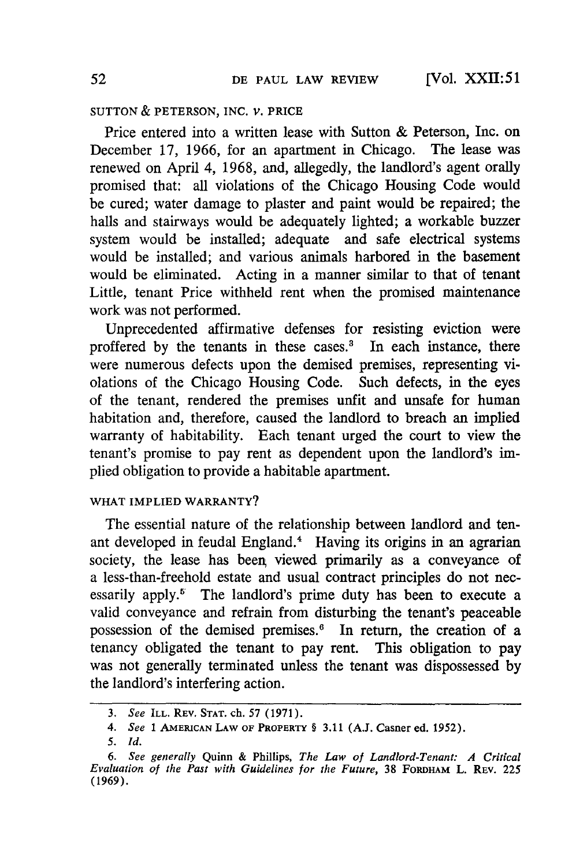### **SUTTON** & **PETERSON, INC.** V. PRICE

Price entered into a written lease with Sutton & Peterson, Inc. on December 17, 1966, for an apartment in Chicago. The lease was renewed on April 4, 1968, and, allegedly, the landlord's agent orally promised that: all violations of the Chicago Housing Code would be cured; water damage to plaster and paint would be repaired; the halls and stairways would be adequately lighted; a workable buzzer system would be installed; adequate and safe electrical systems would be installed; and various animals harbored in the basement would be eliminated. Acting in a manner similar to that of tenant Little, tenant Price withheld rent when the promised maintenance work was not performed.

Unprecedented affirmative defenses for resisting eviction were proffered by the tenants in these cases.<sup>3</sup> In each instance, there were numerous defects upon the demised premises, representing violations of the Chicago Housing Code. Such defects, in the eyes of the tenant, rendered the premises unfit and unsafe for human habitation and, therefore, caused the landlord to breach an implied warranty of habitability. Each tenant urged the court to view the tenant's promise to pay rent as dependent upon the landlord's implied obligation to provide a habitable apartment.

## WHAT IMPLIED WARRANTY?

The essential nature of the relationship between landlord and tenant developed in feudal England.<sup>4</sup> Having its origins in an agrarian society, the lease has been viewed primarily as a conveyance of a less-than-freehold estate and usual contract principles do not necessarily apply.<sup>5</sup> The landlord's prime duty has been to execute a valid conveyance and refrain from disturbing the tenant's peaceable possession of the demised premises.<sup>6</sup> In return, the creation of a tenancy obligated the tenant to pay rent. This obligation to pay was not generally terminated unless the tenant was dispossessed by the landlord's interfering action.

*<sup>3.</sup> See* ILL. REV. **STAT.** ch. 57 **(1971).**

*<sup>4.</sup> See* **1 AMERICAN LAW** OF PROPERTY **§ 3.11 (A.J. Casner ed. 1952).**

*<sup>5.</sup> Id.*

*<sup>6.</sup> See generally* Quinn **&** Phillips, *The Law of Landlord-Tenant: A Critical Evaluation of the Past with Guidelines for the Future,* **38 FORDHAM L.** REV. **225 (1969).**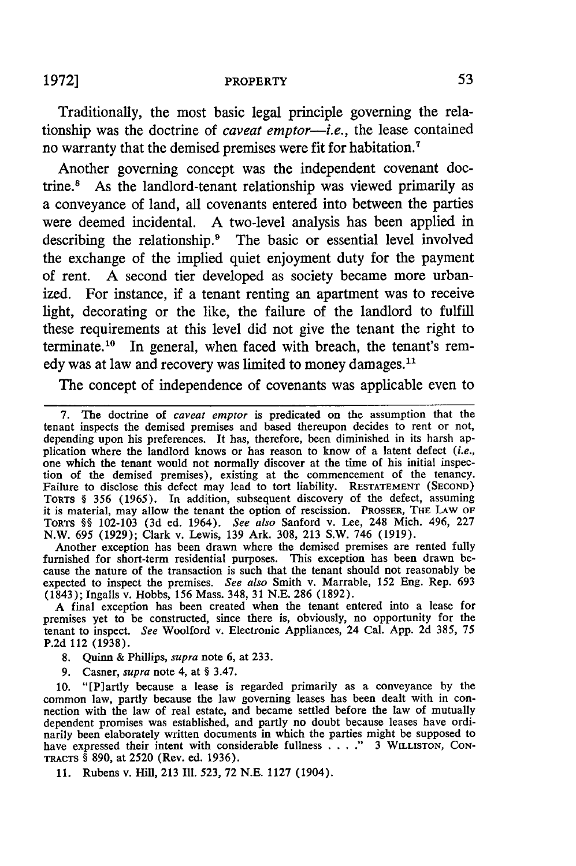#### 1972] **PROPERTY**

Traditionally, the most basic legal principle governing the relationship was the doctrine of *caveat emptor-i.e.,* the lease contained no warranty that the demised premises were fit for habitation.7

Another governing concept was the independent covenant doctrine." As the landlord-tenant relationship was viewed primarily as a conveyance of land, all covenants entered into between the parties were deemed incidental. **A** two-level analysis has been applied in describing the relationship.<sup>9</sup> The basic or essential level involved the exchange of the implied quiet enjoyment duty for the payment of rent. **A** second tier developed as society became more urbanized. For instance, if a tenant renting an apartment was to receive light, decorating or the like, the failure of the landlord to fulfill these requirements at this level did not give the tenant the right to terminate.<sup>10</sup> In general, when faced with breach, the tenant's remedy was at law and recovery was limited to money damages.<sup>11</sup>

The concept of independence of covenants was applicable even to

7. The doctrine of *caveat emptor* is predicated on the assumption that the tenant inspects the demised premises and based thereupon decides to rent or not, depending upon his preferences. It has, therefore, been diminished in its harsh application where the landlord knows or has reason to know of a latent defect *(i.e.,* one which the tenant would not normally discover at the time of his initial inspection of the demised premises), existing at the commencement of the tenancy. Failure to disclose this defect may lead to tort liability. **RESTATEMENT (SECOND) TORTS** § **356** (1965). In addition, subsequent discovery of the defect, assuming it is material, may allow the tenant the option of rescission. PROSSER, THE LAW OF TORTS §§ 102-103 (3d ed. 1964). *See also* Sanford v. Lee, 248 Mich. 496, **227** N.W. 695 (1929); Clark v. Lewis, **139** Ark. 308, **213** S.W. 746 (1919).

Another exception has been drawn where the demised premises are rented fully furnished for short-term residential purposes. This exception has been drawn be- cause the nature of the transaction is such that the tenant should not reasonably be expected to inspect the premises. *See also* Smith v. Marrable, 152 Eng. Rep. **693** (1843); Ingalls v. Hobbs, **156** Mass. 348, 31 N.E. **286** (1892).

A final exception has been created when the tenant entered into a lease for premises yet to be constructed, since there is, obviously, no opportunity for the tenant to inspect. *See* Woolford v. Electronic Appliances, 24 Cal. **App.** 2d 385, **75** P.2d 112 **(1938).**

- **8.** Quinn & Phillips, *supra* note 6, at **233.**
- **9.** Casner, *supra* note 4, at § 3.47.

**10.** "[P]artly because a lease is regarded primarily as a conveyance **by** the common law, partly because the law governing leases has been dealt with in con- nection with the law of real estate, and became settled before the law of mutually nection with the law of real estate, and became settled before the law of mutually dependent promises was established, and partly no doubt because leases have ordinarily been elaborately written documents in which the parties might be supposed to have expressed their intent with considerable fullness **....**" 3 WILLISTON, CON-TRACTS § 890, at 2520 (Rev. ed. 1936).

**11.** Rubens v. Hill, 213 **Ill.** 523, **72** N.E. 1127 (1904).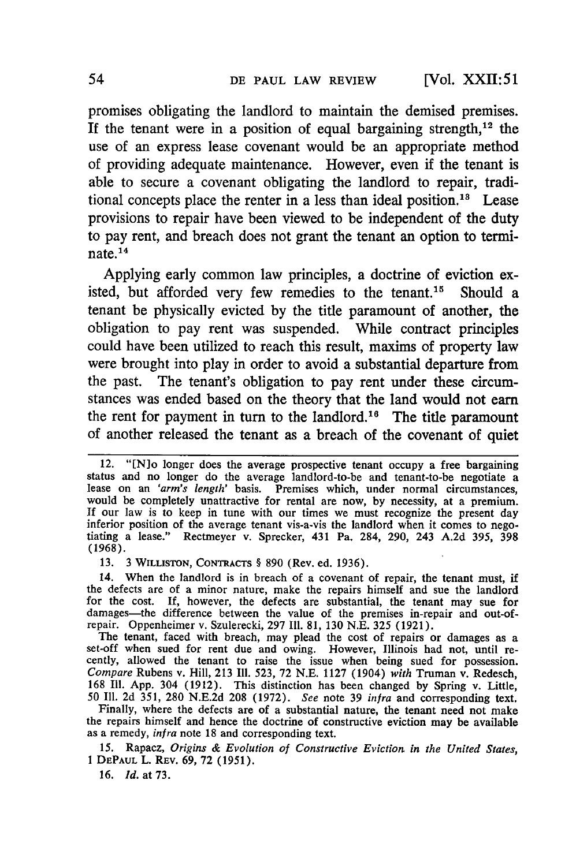promises obligating the landlord to maintain the demised premises. If the tenant were in a position of equal bargaining strength,<sup>12</sup> the use of an express lease covenant would be an appropriate method of providing adequate maintenance. However, even if the tenant is able to secure a covenant obligating the landlord to repair, traditional concepts place the renter in a less than ideal position.<sup>18</sup> Lease provisions to repair have been viewed to be independent of the duty to pay rent, and breach does not grant the tenant an option to terminate. $14$ 

Applying early common law principles, a doctrine of eviction existed, but afforded very few remedies to the tenant.<sup>15</sup> Should a tenant be physically evicted by the title paramount of another, the obligation to pay rent was suspended. While contract principles could have been utilized to reach this result, maxims of property law were brought into play in order to avoid a substantial departure from the past. The tenant's obligation to pay rent under these circumstances was ended based on the theory that the land would not earn the rent for payment in turn to the landlord.<sup>16</sup> The title paramount of another released the tenant as a breach of the covenant of quiet

13. 3 WILuSTON, CONTRACTS § 890 (Rev. ed. 1936).

14. When the landlord is in breach of a covenant of repair, the tenant must, if the defects are of a minor nature, make the repairs himself and sue the landlord for the cost. If, however, the defects are substantial, the tenant may sue for damages—the difference between the value of the premises in-repair and out-of-

repair. Oppenheimer v. Szulerecki, 297 III. 81, 130 N.E. 325 (1921).<br>The tenant, faced with breach, may plead the cost of repairs or damages as a set-off when sued for rent due and owing. However, Illinois had not, until r *Compare* Rubens v. Hill, 213 **Ill.** 523, 72 N.E. 1127 (1904) *with* Truman v. Redesch, 168 Ill. App. 304 (1912). This distinction has been changed by Spring v. Little, 50 **I11.** 2d 351, 280 N.E.2d 208 (1972). *See* note 39 *infra* and corresponding text.

Finally, where the defects are of a substantial nature, the tenant need not make the repairs himself and hence the doctrine of constructive eviction may be available as a remedy, *infra* note 18 and corresponding text.

15. Rapacz, *Origins & Evolution of Constructive Eviction in the United States,* **I** DEPAUL L. REv. 69, 72 (1951).

**16.** *Id.* at 73.

<sup>12. &</sup>quot;[N]o longer does the average prospective tenant occupy a free bargaining status and no longer do the average landlord-to-be and tenant-to-be negotiate a lease on an 'arm's length' basis. Premises which, under normal circumstances, would be completely unattractive for rental are now, by necessit **If** our law is to keep in tune with our times we must recognize the present day inferior position of the average tenant vis-a-vis the landlord when it comes to negotiating a lease." Rectmeyer v. Sprecker, 431 Pa. 284, 290, 243 A.2d 395, 398 (1968).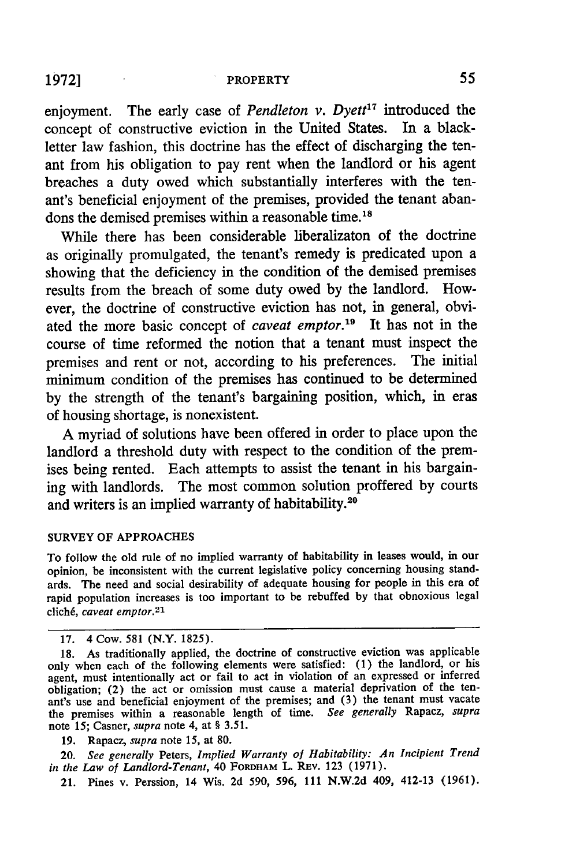# 1972] PROPERTY **55**

enjoyment. The early case of *Pendleton v. Dyett17* introduced the concept of constructive eviction in the United States. In a blackletter law fashion, this doctrine has the effect of discharging the tenant from his obligation to pay rent when the landlord or his agent breaches a duty owed which substantially interferes with the tenant's beneficial enjoyment of the premises, provided the tenant abandons the demised premises within a reasonable time.<sup>18</sup>

While there has been considerable liberalizaton of the doctrine as originally promulgated, the tenant's remedy is predicated upon a showing that the deficiency in the condition of the demised premises results from the breach of some duty owed **by** the landlord. However, the doctrine of constructive eviction has not, in general, obviated the more basic concept of *caveat emptor.'9* It has not in the course of time reformed the notion that a tenant must inspect the premises and rent or not, according to his preferences. The initial minimum condition of the premises has continued to be determined **by** the strength of the tenant's bargaining position, which, in eras of housing shortage, is nonexistent.

A myriad of solutions have been offered in order to place upon the landlord a threshold duty with respect to the condition of the premises being rented. Each attempts to assist the tenant in his bargaining with landlords. The most common solution proffered by courts and writers is an implied warranty of habitability.<sup>20</sup>

#### SURVEY OF APPROACHES

To follow the old rule of no implied warranty of habitability in leases would, in our opinion, be inconsistent with the current legislative policy concerning housing standards. The need and social desirability of adequate housing for people in this era of rapid population increases is too important to be rebuffed by that obnoxious legal clich6, *caveat emptor.2 <sup>1</sup>*

19. Rapacz, *supra* note 15, at 80.

20. *See generally* Peters, *Implied Warranty of Habitability: An Incipient Trend in the Law of Landlord-Tenant,* 40 FORDHAM L. REv. 123 (1971).

21. Pines v. Perssion, 14 Wis. 2d 590, **596, 111 N.W.2d** 409, 412-13 (1961).

<sup>17. 4</sup> Cow. 581 (N.Y. 1825).

<sup>18.</sup> As traditionally applied, the doctrine of constructive eviction was applicable only when each of the following elements were satisfied: (1) the landlord, or his agent, must intentionally act or fail to act in violation of an expressed or inferred obligation; (2) the act or omission must cause a material deprivation of the tenant's use and beneficial enjoyment of the premises; and (3) the tenant must vacate the premises within a reasonable length of time. *See generally* Rapacz, *supra* note 15; Casner, *supra* note 4, at § 3.51.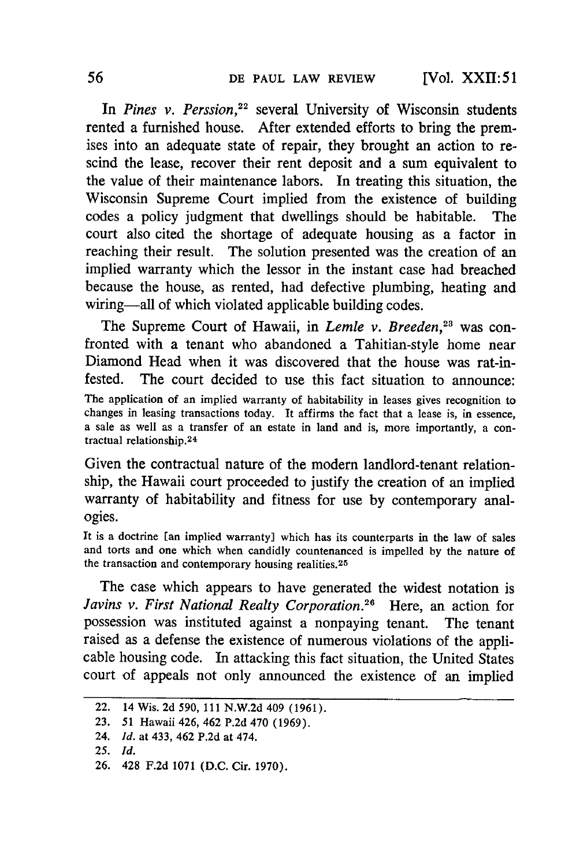[Vol. XXII: **51**

In *Pines v. Perssion*,<sup>22</sup> several University of Wisconsin students rented a furnished house. After extended efforts to bring the premises into an adequate state of repair, they brought an action to rescind the lease, recover their rent deposit and a sum equivalent to the value of their maintenance labors. In treating this situation, the Wisconsin Supreme Court implied from the existence of building codes a policy judgment that dwellings should be habitable. The court also cited the shortage of adequate housing as a factor in reaching their result. The solution presented was the creation of an implied warranty which the lessor in the instant case had breached because the house, as rented, had defective plumbing, heating and wiring-all of which violated applicable building codes.

The Supreme Court of Hawaii, in *Lemle v. Breeden*,<sup>23</sup> was confronted with a tenant who abandoned a Tahitian-style home near Diamond Head when it was discovered that the house was rat-infested. The court decided to use this fact situation to announce: The application of an implied warranty of habitability in leases gives recognition to changes in leasing transactions today. It affirms the fact that a lease is, in essence, a sale as well as a transfer of an estate in land and is, more importantly, a contractual relationship.<sup>24</sup>

Given the contractual nature of the modern landlord-tenant relationship, the Hawaii court proceeded to justify the creation of an implied warranty of habitability and fitness for use by contemporary analogies.

It is a doctrine [an implied warranty] which has its counterparts in the law of sales and torts and one which when candidly countenanced is impelled by the nature of the transaction and contemporary housing realities. <sup>25</sup>

The case which appears to have generated the widest notation is *Javins v. First National Realty Corporation.26* Here, an action for possession was instituted against a nonpaying tenant. The tenant raised as a defense the existence of numerous violations of the applicable housing code. In attacking this fact situation, the United States court of appeals not only announced the existence of an implied

<sup>22. 14</sup> Wis. 2d 590, 111 N.W.2d 409 (1961).

<sup>23. 51</sup> Hawaii 426, 462 P.2d 470 (1969).

<sup>24.</sup> *Id.* at 433, 462 P.2d at 474.

**<sup>25.</sup>** *Id.*

<sup>26. 428</sup> F.2d 1071 (D.C. Cir. 1970).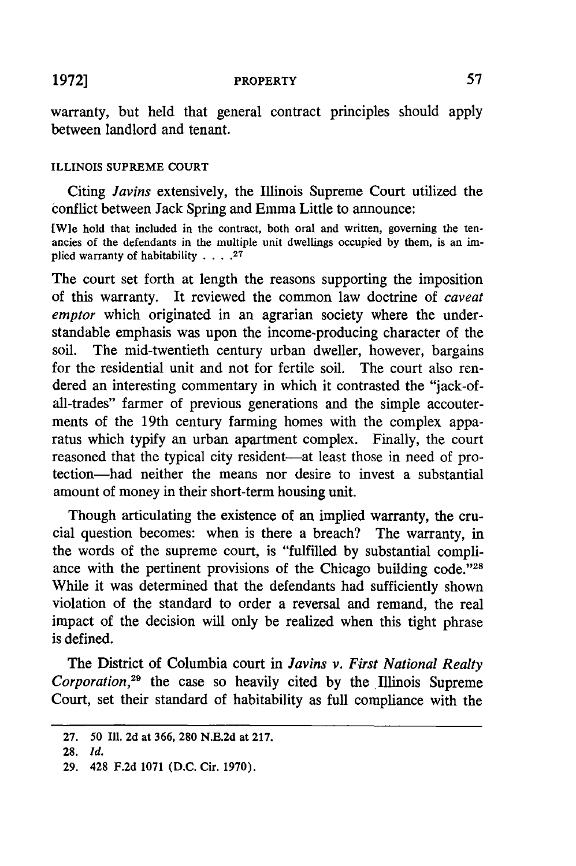PROPERTY

warranty, but held that general contract principles should apply between landlord and tenant.

## ILLINOIS **SUPREME COURT**

Citing *Javins* extensively, the Illinois Supreme Court utilized the conflict between Jack Spring and Emma Little to announce:

[W]e hold that included in the contract, both oral and written, governing the tenancies of the defendants in the multiple unit dwellings occupied **by** them, is an implied warranty of habitability **.... <sup>27</sup>**

The court set forth at length the reasons supporting the imposition of this warranty. It reviewed the common law doctrine of *caveat emptor* which originated in an agrarian society where the understandable emphasis was upon the income-producing character of the soil. The mid-twentieth century urban dweller, however, bargains for the residential unit and not for fertile soil. The court also rendered an interesting commentary in which it contrasted the "jack-ofall-trades" farmer of previous generations and the simple accouterments of the 19th century farming homes with the complex apparatus which typify an urban apartment complex. Finally, the court reasoned that the typical city resident-at least those in need of protection-had neither the means nor desire to invest a substantial amount of money in their short-term housing unit.

Though articulating the existence of an implied warranty, the crucial question becomes: when is there a breach? The warranty, in the words of the supreme court, is "fulfilled **by** substantial compliance with the pertinent provisions of the Chicago building code."<sup>28</sup> While it was determined that the defendants had sufficiently shown violation of the standard to order a reversal and remand, the real impact of the decision will only be realized when this tight phrase is defined.

The District of Columbia court in *Javins v. First National Realty Corporation*,<sup>29</sup> the case so heavily cited by the Illinois Supreme Court, set their standard of habitability as full compliance with the

**19721**

<sup>27.</sup> **50** Ill. 2d at 366, 280 N.E.2d at 217.

**<sup>28.</sup>** *Id.*

<sup>29. 428</sup> F.2d 1071 (D.C. Cir. 1970).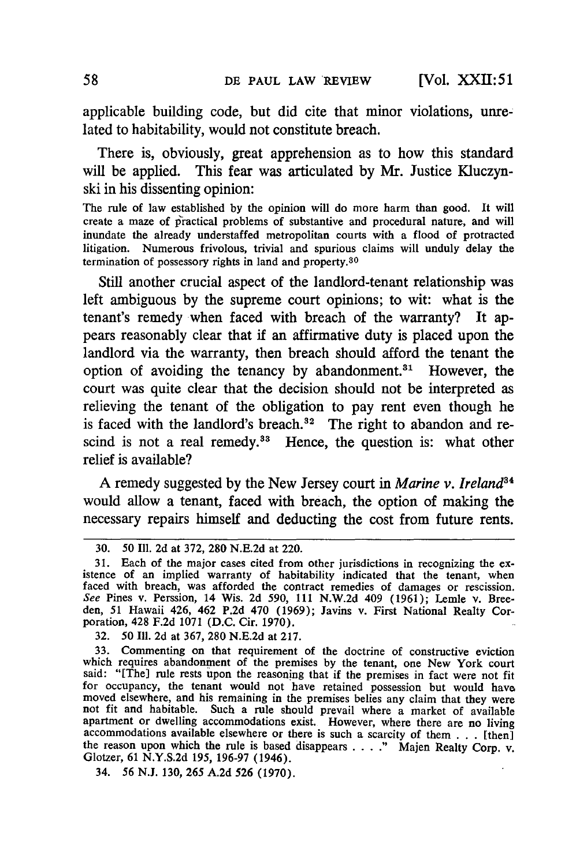applicable building code, but did cite that minor violations, unrelated to habitability, would not constitute breach.

There is, obviously, great apprehension as to how this standard will be applied. This fear was articulated **by** Mr. Justice Kluczynski in his dissenting opinion:

The rule of law established by the opinion will do more harm than good. It will create a maze of practical problems of substantive and procedural nature, and will inundate the already understaffed metropolitan courts with a flood of protracted litigation. Numerous frivolous, trivial and spurious claims will unduly delay the termination of possessory rights in land and property.<sup>30</sup>

Still another crucial aspect of the landlord-tenant relationship was left ambiguous by the supreme court opinions; to wit: what is the tenant's remedy when faced with breach of the warranty? It appears reasonably clear that if an affirmative duty is placed upon the landlord via the warranty, then breach should afford the tenant the option of avoiding the tenancy by abandonment.<sup>31</sup> However, the court was quite clear that the decision should not be interpreted as relieving the tenant of the obligation to pay rent even though he is faced with the landlord's breach. $32$  The right to abandon and rescind is not a real remedy.<sup>33</sup> Hence, the question is: what other relief is available?

A remedy suggested by the New Jersey court in *Marine v. Ireland8 <sup>4</sup>* would allow a tenant, faced with breach, the option of making the necessary repairs himself and deducting the cost from future rents.

34. 56 N.J. 130, 265 A.2d 526 (1970).

<sup>30.</sup> *50* **Ill. 2d** at 372, 280 N.E.2d at 220.

<sup>31.</sup> Each of the major cases cited from other jurisdictions in recognizing the existence of an implied warranty of habitability indicated that the tenant, when faced with breach, was afforded the contract remedies of damages or rescission. *See* Pines v. Perssion, 14 Wis. 2d 590, **111** N.W.2d 409 (1961); Lemle v. Breeden, 51 Hawaii 426, 462 P.2d 470 (1969); Javins v. First National Realty Corporation, 428 F.2d 1071 (D.C. Cir. 1970).

<sup>32. 50</sup> Ill. 2d at 367, 280 N.E.2d at 217.

<sup>33.</sup> Commenting on that requirement of the doctrine of constructive eviction which requires abandonment of the premises by the tenant, one New York court said: "[The] rule rests upon the reasoning that if the premises in fact were not fit for occupancy, the tenant would not have retained possession but would have moved elsewhere, and his remaining in the premises belies any claim that they were<br>not fit and habitable. Such a rule should prevail where a market of available not fit and habitable. Such a rule should prevail where a market of available apartment or dwelling accommodations exist. However, where there are no living accommodations available elsewhere or there is such a scarcity of the reason upon which the rule is based disappears .... " Majen Realty Corp. v. Glotzer, 61 N.Y.S.2d 195, 196-97 (1946).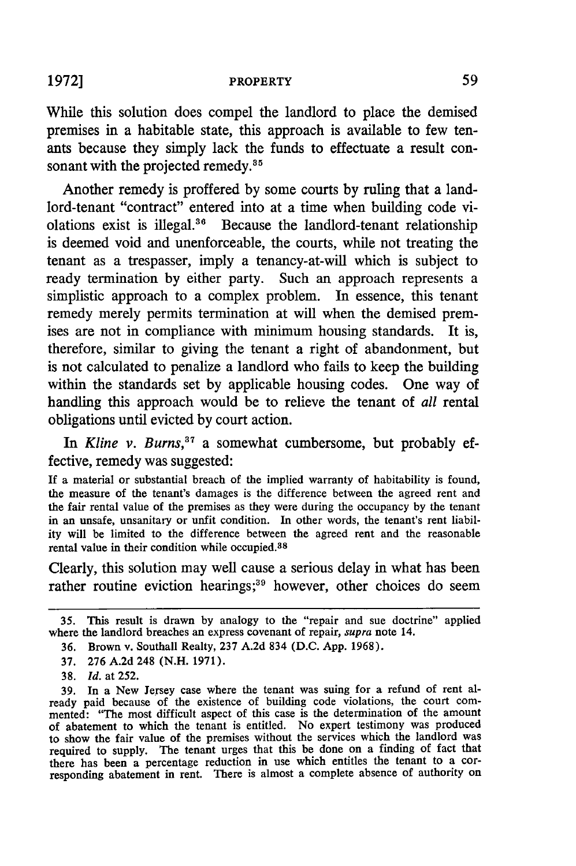While this solution does compel the landlord to place the demised premises in a habitable state, this approach is available to few tenants because they simply lack the funds to effectuate a result consonant with the projected remedy.<sup>35</sup>

Another remedy is proffered **by** some courts **by** ruling that a landlord-tenant "contract" entered into at a time when building code violations exist is illegal. $36$  Because the landlord-tenant relationship is deemed void and unenforceable, the courts, while not treating the tenant as a trespasser, imply a tenancy-at-will which is subject to ready termination **by** either party. Such an approach represents a simplistic approach to a complex problem. In essence, this tenant remedy merely permits termination at will when the demised premises are not in compliance with minimum housing standards. It is, therefore, similar to giving the tenant a right of abandonment, but is not calculated to penalize a landlord who fails to keep the building within the standards set **by** applicable housing codes. One way of handling this approach would be to relieve the tenant of *all* rental obligations until evicted **by** court action.

In *Kline v. Burns*,<sup>37</sup> a somewhat cumbersome, but probably effective, remedy was suggested:

If a material or substantial breach of the implied warranty of habitability is found, the measure of the tenant's damages is the difference between the agreed rent and the fair rental value of the premises as they were during the occupancy **by** the tenant in an unsafe, unsanitary or unfit condition. In other words, the tenant's rent liability will be limited to the difference between the agreed rent and the reasonable rental value in their condition while occupied.<sup>38</sup>

Clearly, this solution may well cause a serious delay in what has been rather routine eviction hearings;<sup>39</sup> however, other choices do seem

- **37. 276** A.2d 248 (N.H. **1971).**
- **38.** *Id.* at 252.

**39.** In a New Jersey case where the tenant was suing for a refund of rent already paid because of the existence of building code violations, the court commented: "The most difficult aspect of this case is the determination of the amount of abatement to which the tenant is entitled. No expert testimony was produced to show the fair value of the premises without the services which the landlord was required to supply. The tenant urges that this be done on a finding of fact that there has been a percentage reduction in use which entitles the tenant to a corresponding abatement in rent. There is almost a complete absence of authority on

<sup>35.</sup> This result is drawn **by** analogy to the "repair and sue doctrine" applied where the landlord breaches an express covenant of repair, *supra* note 14.

**<sup>36.</sup>** Brown v. Southall Realty, **237** A.2d 834 (D.C. App. **1968).**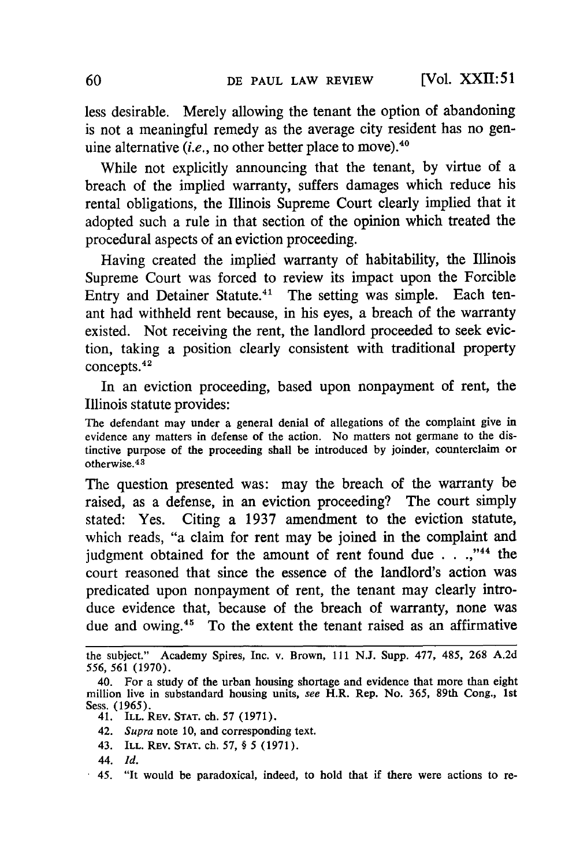**[Vol.** XXII: **51**

less desirable. Merely allowing the tenant the option of abandoning is not a meaningful remedy as the average city resident has no genuine alternative *(i.e., no other better place to move)*.<sup>40</sup>

While not explicitly announcing that the tenant, **by** virtue of a breach of the implied warranty, suffers damages which reduce his rental obligations, the Illinois Supreme Court clearly implied that it adopted such a rule in that section of the opinion which treated the procedural aspects of an eviction proceeding.

Having created the implied warranty of habitability, the Illinois Supreme Court was forced to review its impact upon the Forcible Entry and Detainer Statute.<sup>41</sup> The setting was simple. Each tenant had withheld rent because, in his eyes, a breach of the warranty existed. Not receiving the rent, the landlord proceeded to seek eviction, taking a position clearly consistent with traditional property concepts.42

In an eviction proceeding, based upon nonpayment of rent, the Illinois statute provides:

The defendant may under a general denial of allegations of the complaint give in evidence any matters in defense of the action. No matters not germane to the distinctive purpose of the proceeding shall be introduced **by** joinder, counterclaim or otherwise.<sup>43</sup>

The question presented was: may the breach of the warranty be raised, as a defense, in an eviction proceeding? The court simply stated: Yes. Citing a 1937 amendment to the eviction statute, which reads, "a claim for rent may be joined in the complaint and judgment obtained for the amount of rent found due . . .,"<sup>44</sup> the court reasoned that since the essence of the landlord's action was predicated upon nonpayment of rent, the tenant may clearly introduce evidence that, because of the breach of warranty, none was due and owing.<sup>45</sup> To the extent the tenant raised as an affirmative

- 42. *Supra* note 10, and corresponding text.
- 43. ILL. REV. **STAT.** ch. 57, § 5 **(1971).**
- 44. *Id.*

the subject." Academy Spires, Inc. v. Brown, **111 N.J.** Supp. **477,** 485, **268** A.2d *556,* 561 (1970).

<sup>40.</sup> For a study of the urban housing shortage and evidence that more than eight million live in substandard housing units, *see* H.R. Rep. No. 365, 89th Cong., **1st** Sess. (1965).

<sup>41.</sup> ILL. REV. **STAT.** ch. 57 (1971).

<sup>45. &</sup>quot;It would be paradoxical, indeed, to hold that if there were actions to re-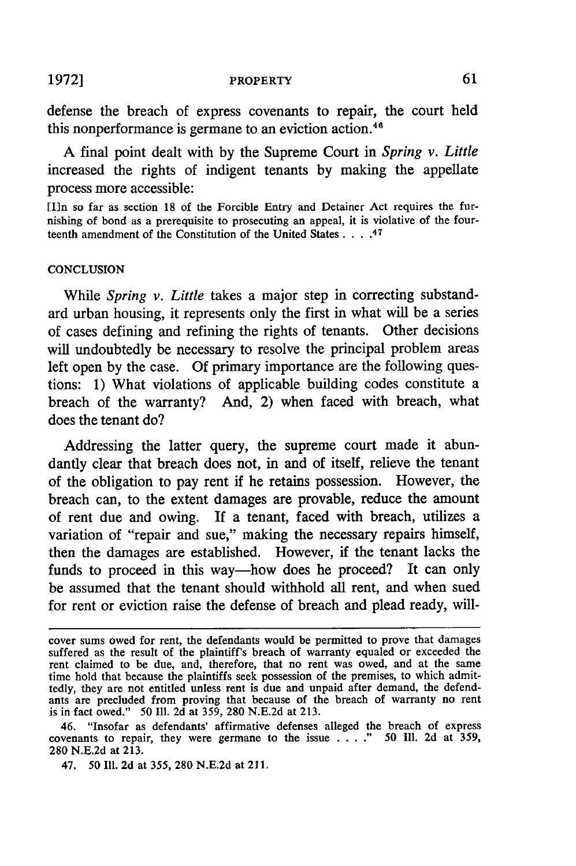#### PROPERTY

defense the breach of express covenants to repair, the court held this nonperformance is germane to an eviction action.<sup>46</sup>

A final point dealt with by the Supreme Court in *Spring v. Little* increased the rights of indigent tenants by making the appellate process more accessible:

[In so far as section 18 of the Forcible Entry and Detainer Act requires the furnishing of bond as a prerequisite to prosecuting an appeal, it is violative of the fourteenth amendment of the Constitution of the United States **....** 47

#### **CONCLUSION**

While *Spring v. Little* takes a major step in correcting substandard urban housing, it represents only the first in what will be a series of cases defining and refining the rights of tenants. Other decisions will undoubtedly be necessary to resolve the principal problem areas left open by the case. Of primary importance are the following questions: 1) What violations of applicable building codes constitute a breach of the warranty? And, 2) when faced with breach, what does the tenant do?

Addressing the latter query, the supreme court made it abundantly clear that breach does not, in and of itself, relieve the tenant of the obligation to pay rent if he retains possession. However, the breach can, to the extent damages are provable, reduce the amount of rent due and owing. **If** a tenant, faced with breach, utilizes a variation of "repair and sue," making the necessary repairs himself, then the damages are established. However, if the tenant lacks the funds to proceed in this way-how does he proceed? It can only be assumed that the tenant should withhold all rent, and when sued for rent or eviction raise the defense of breach and plead ready, will-

**1972]**

cover sums owed for rent, the defendants would be permitted to prove that damages suffered as the result of the plaintiff's breach of warranty equaled or exceeded the rent claimed to be due, and, therefore, that no rent was owed, and at the same time hold that because the plaintiffs seek possession of the premises, to which admittedly, they are not entitled unless rent is due and unpaid after demand, the defendants are precluded from proving that because of the breach of warranty no rent is in fact owed." 50 Ill. 2d at 359, 280 N.E.2d at 213.

<sup>46. &</sup>quot;Insofar as defendants' affirmative defenses alleged the breach of express covenants to repair, they were germane to the issue  $\ldots$  ". 50 Ill. 2d at 359, 280 N.E.2d at 213.

<sup>47. 50</sup> Ill. 2d at 355, 280 N.E.2d at 211.